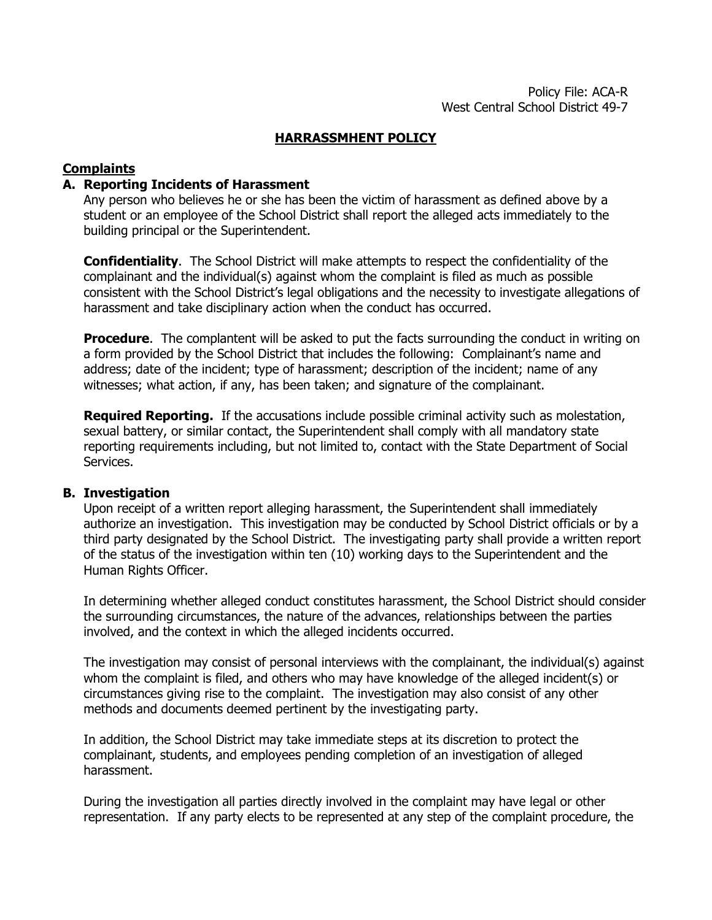### **HARRASSMHENT POLICY**

# **Complaints**

#### **A. Reporting Incidents of Harassment**

Any person who believes he or she has been the victim of harassment as defined above by a student or an employee of the School District shall report the alleged acts immediately to the building principal or the Superintendent.

**Confidentiality**. The School District will make attempts to respect the confidentiality of the complainant and the individual(s) against whom the complaint is filed as much as possible consistent with the School District's legal obligations and the necessity to investigate allegations of harassment and take disciplinary action when the conduct has occurred.

**Procedure**. The complantent will be asked to put the facts surrounding the conduct in writing on a form provided by the School District that includes the following: Complainant's name and address; date of the incident; type of harassment; description of the incident; name of any witnesses; what action, if any, has been taken; and signature of the complainant.

**Required Reporting.** If the accusations include possible criminal activity such as molestation, sexual battery, or similar contact, the Superintendent shall comply with all mandatory state reporting requirements including, but not limited to, contact with the State Department of Social Services.

#### **B. Investigation**

Upon receipt of a written report alleging harassment, the Superintendent shall immediately authorize an investigation. This investigation may be conducted by School District officials or by a third party designated by the School District. The investigating party shall provide a written report of the status of the investigation within ten (10) working days to the Superintendent and the Human Rights Officer.

In determining whether alleged conduct constitutes harassment, the School District should consider the surrounding circumstances, the nature of the advances, relationships between the parties involved, and the context in which the alleged incidents occurred.

The investigation may consist of personal interviews with the complainant, the individual(s) against whom the complaint is filed, and others who may have knowledge of the alleged incident(s) or circumstances giving rise to the complaint. The investigation may also consist of any other methods and documents deemed pertinent by the investigating party.

In addition, the School District may take immediate steps at its discretion to protect the complainant, students, and employees pending completion of an investigation of alleged harassment.

During the investigation all parties directly involved in the complaint may have legal or other representation. If any party elects to be represented at any step of the complaint procedure, the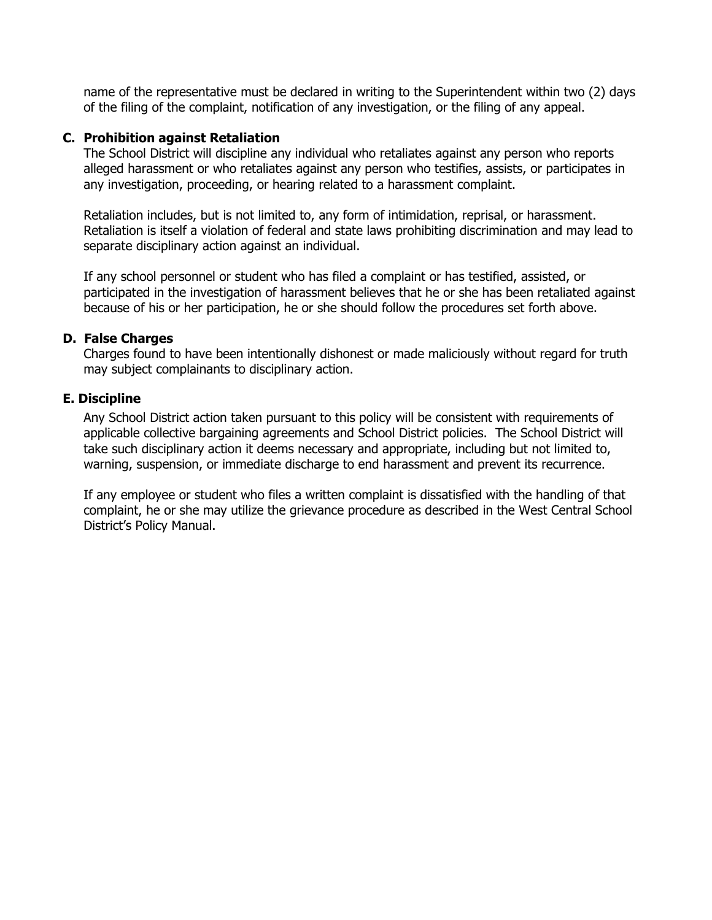name of the representative must be declared in writing to the Superintendent within two (2) days of the filing of the complaint, notification of any investigation, or the filing of any appeal.

### **C. Prohibition against Retaliation**

The School District will discipline any individual who retaliates against any person who reports alleged harassment or who retaliates against any person who testifies, assists, or participates in any investigation, proceeding, or hearing related to a harassment complaint.

Retaliation includes, but is not limited to, any form of intimidation, reprisal, or harassment. Retaliation is itself a violation of federal and state laws prohibiting discrimination and may lead to separate disciplinary action against an individual.

If any school personnel or student who has filed a complaint or has testified, assisted, or participated in the investigation of harassment believes that he or she has been retaliated against because of his or her participation, he or she should follow the procedures set forth above.

### **D. False Charges**

Charges found to have been intentionally dishonest or made maliciously without regard for truth may subject complainants to disciplinary action.

### **E. Discipline**

Any School District action taken pursuant to this policy will be consistent with requirements of applicable collective bargaining agreements and School District policies. The School District will take such disciplinary action it deems necessary and appropriate, including but not limited to, warning, suspension, or immediate discharge to end harassment and prevent its recurrence.

If any employee or student who files a written complaint is dissatisfied with the handling of that complaint, he or she may utilize the grievance procedure as described in the West Central School District's Policy Manual.